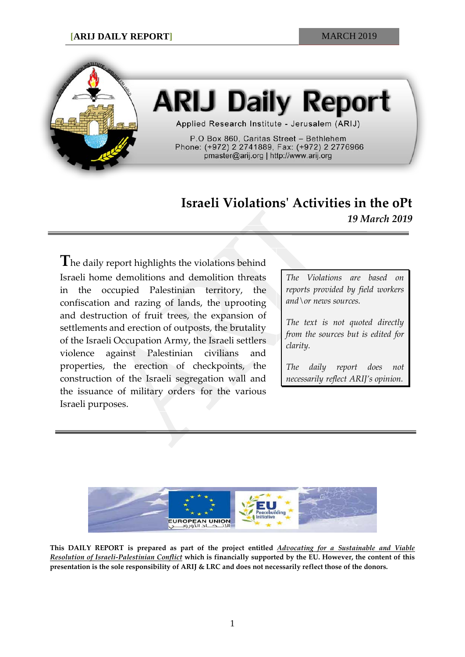

## **ARIJ Daily Report**

Applied Research Institute - Jerusalem (ARIJ)

P.O Box 860, Caritas Street - Bethlehem Phone: (+972) 2 2741889, Fax: (+972) 2 2776966 pmaster@arij.org | http://www.arij.org

## **Israeli Violations' Activities in the oPt** *19 March 2019*

**T**he daily report highlights the violations behind Israeli home demolitions and demolition threats in the occupied Palestinian territory, the confiscation and razing of lands, the uprooting and destruction of fruit trees, the expansion of settlements and erection of outposts, the brutality of the Israeli Occupation Army, the Israeli settlers violence against Palestinian civilians and properties, the erection of checkpoints, the construction of the Israeli segregation wall and the issuance of military orders for the various Israeli purposes.

*The Violations are based on reports provided by field workers and\or news sources.*

*The text is not quoted directly from the sources but is edited for clarity.*

*The daily report does not necessarily reflect ARIJ's opinion.*



**This DAILY REPORT is prepared as part of the project entitled** *Advocating for a Sustainable and Viable Resolution of Israeli-Palestinian Conflict* **which is financially supported by the EU. However, the content of this presentation is the sole responsibility of ARIJ & LRC and does not necessarily reflect those of the donors.**